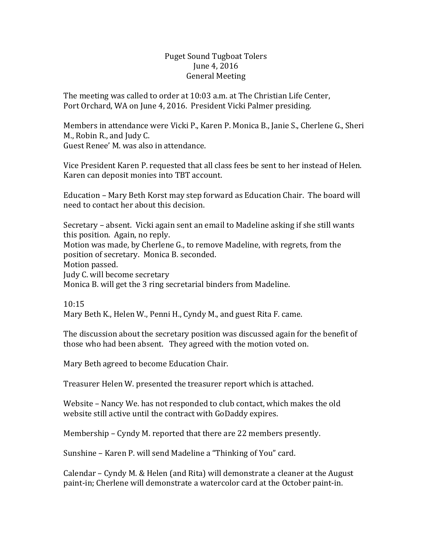## Puget Sound Tugboat Tolers June 4, 2016 General Meeting

The meeting was called to order at 10:03 a.m. at The Christian Life Center, Port Orchard, WA on June 4, 2016. President Vicki Palmer presiding.

Members in attendance were Vicki P., Karen P. Monica B., Janie S., Cherlene G., Sheri M., Robin R., and Judy C. Guest Renee' M. was also in attendance.

Vice President Karen P. requested that all class fees be sent to her instead of Helen. Karen can deposit monies into TBT account.

Education – Mary Beth Korst may step forward as Education Chair. The board will need to contact her about this decision.

Secretary – absent. Vicki again sent an email to Madeline asking if she still wants this position. Again, no reply. Motion was made, by Cherlene G., to remove Madeline, with regrets, from the position of secretary. Monica B. seconded. Motion passed. Judy C. will become secretary Monica B. will get the 3 ring secretarial binders from Madeline.

10:15

Mary Beth K., Helen W., Penni H., Cyndy M., and guest Rita F. came.

The discussion about the secretary position was discussed again for the benefit of those who had been absent. They agreed with the motion voted on.

Mary Beth agreed to become Education Chair.

Treasurer Helen W. presented the treasurer report which is attached.

Website – Nancy We. has not responded to club contact, which makes the old website still active until the contract with GoDaddy expires.

Membership – Cyndy M. reported that there are 22 members presently.

Sunshine – Karen P. will send Madeline a "Thinking of You" card.

Calendar – Cyndy M. & Helen (and Rita) will demonstrate a cleaner at the August paint-in; Cherlene will demonstrate a watercolor card at the October paint-in.